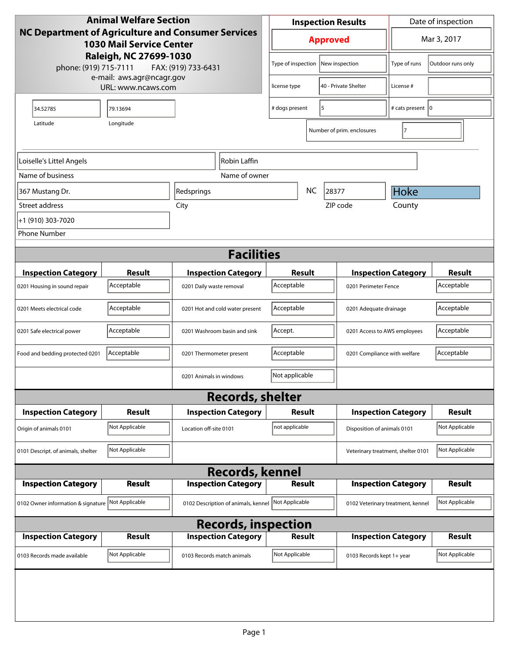| <b>Animal Welfare Section</b><br><b>NC Department of Agriculture and Consumer Services</b><br><b>1030 Mail Service Center</b> |                             |                                     | <b>Inspection Results</b>                  |                      |                                    | Date of inspection         |                             |
|-------------------------------------------------------------------------------------------------------------------------------|-----------------------------|-------------------------------------|--------------------------------------------|----------------------|------------------------------------|----------------------------|-----------------------------|
|                                                                                                                               |                             |                                     | <b>Approved</b>                            |                      |                                    | Mar 3, 2017                |                             |
| Raleigh, NC 27699-1030<br>phone: (919) 715-7111<br>FAX: (919) 733-6431                                                        |                             |                                     |                                            |                      | Type of inspection New inspection  | Type of runs               | Outdoor runs only           |
| e-mail: aws.agr@ncagr.gov<br>URL: www.ncaws.com                                                                               |                             | license type                        |                                            | 40 - Private Shelter | License #                          |                            |                             |
| 34.52785                                                                                                                      | 79.13694                    |                                     | # dogs present<br>5                        |                      |                                    | # cats present   0         |                             |
| Latitude                                                                                                                      | Longitude                   |                                     |                                            |                      | Number of prim. enclosures         | 7                          |                             |
| Loiselle's Littel Angels<br>Robin Laffin                                                                                      |                             |                                     |                                            |                      |                                    |                            |                             |
| Name of business                                                                                                              |                             | Name of owner                       |                                            |                      |                                    |                            |                             |
| 367 Mustang Dr.                                                                                                               |                             | Redsprings                          |                                            | <b>NC</b>            | 28377                              | Hoke                       |                             |
| Street address                                                                                                                |                             | City                                |                                            |                      | ZIP code                           | County                     |                             |
| +1 (910) 303-7020                                                                                                             |                             |                                     |                                            |                      |                                    |                            |                             |
| <b>Phone Number</b>                                                                                                           |                             |                                     |                                            |                      |                                    |                            |                             |
|                                                                                                                               |                             | <b>Facilities</b>                   |                                            |                      |                                    |                            |                             |
|                                                                                                                               |                             |                                     |                                            |                      |                                    |                            |                             |
| <b>Inspection Category</b>                                                                                                    | <b>Result</b><br>Acceptable | <b>Inspection Category</b>          | <b>Result</b><br>Acceptable                |                      |                                    | <b>Inspection Category</b> | <b>Result</b><br>Acceptable |
| 0201 Housing in sound repair                                                                                                  |                             | 0201 Daily waste removal            |                                            |                      | 0201 Perimeter Fence               |                            |                             |
| 0201 Meets electrical code                                                                                                    | Acceptable                  | 0201 Hot and cold water present     | Acceptable                                 |                      | 0201 Adequate drainage             |                            | Acceptable                  |
| 0201 Safe electrical power                                                                                                    | Acceptable                  | 0201 Washroom basin and sink        | Accept.<br>0201 Access to AWS employees    |                      |                                    | Acceptable                 |                             |
| Food and bedding protected 0201                                                                                               | Acceptable                  | 0201 Thermometer present            | Acceptable<br>0201 Compliance with welfare |                      |                                    | Acceptable                 |                             |
|                                                                                                                               |                             | 0201 Animals in windows             | Not applicable                             |                      |                                    |                            |                             |
|                                                                                                                               |                             | <b>Records, shelter</b>             |                                            |                      |                                    |                            |                             |
| <b>Inspection Category</b>                                                                                                    | Result                      | <b>Inspection Category</b>          | <b>Result</b>                              |                      |                                    | <b>Inspection Category</b> | Result                      |
| Origin of animals 0101                                                                                                        | Not Applicable              | Location off-site 0101              | not applicable                             |                      | Disposition of animals 0101        |                            | Not Applicable              |
| 0101 Descript. of animals, shelter                                                                                            | Not Applicable              |                                     |                                            |                      | Veterinary treatment, shelter 0101 |                            | Not Applicable              |
|                                                                                                                               |                             | <b>Records, kennel</b>              |                                            |                      |                                    |                            |                             |
| <b>Inspection Category</b>                                                                                                    | <b>Result</b>               | <b>Inspection Category</b>          | <b>Result</b>                              |                      |                                    | <b>Inspection Category</b> | <b>Result</b>               |
| 0102 Owner information & signature                                                                                            | Not Applicable              | 0102 Description of animals, kennel | Not Applicable                             |                      | 0102 Veterinary treatment, kennel  |                            | Not Applicable              |
| <b>Records, inspection</b>                                                                                                    |                             |                                     |                                            |                      |                                    |                            |                             |
| <b>Inspection Category</b>                                                                                                    | Result                      | <b>Inspection Category</b>          | <b>Result</b>                              |                      |                                    | <b>Inspection Category</b> | Result                      |
| 0103 Records made available                                                                                                   | Not Applicable              | 0103 Records match animals          | Not Applicable                             |                      | 0103 Records kept 1+ year          |                            | Not Applicable              |
|                                                                                                                               |                             |                                     |                                            |                      |                                    |                            |                             |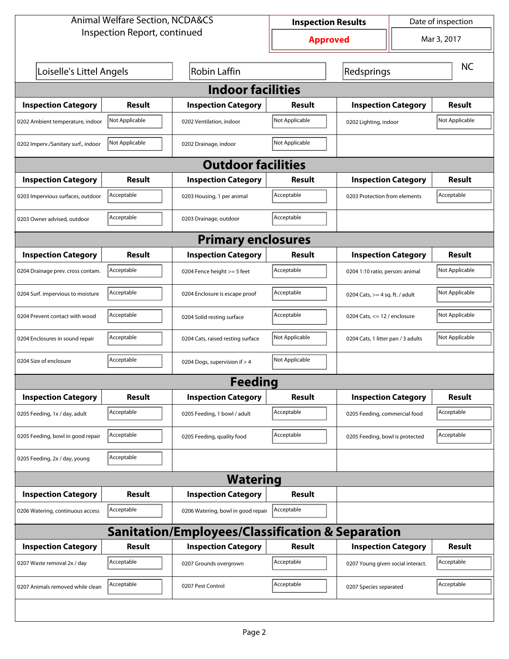| <b>Animal Welfare Section, NCDA&amp;CS</b>       |                              | Date of inspection<br><b>Inspection Results</b> |                 |                                    |                                             |                |  |  |
|--------------------------------------------------|------------------------------|-------------------------------------------------|-----------------|------------------------------------|---------------------------------------------|----------------|--|--|
|                                                  | Inspection Report, continued |                                                 | <b>Approved</b> |                                    | Mar 3, 2017                                 |                |  |  |
| Loiselle's Littel Angels                         |                              | <b>Robin Laffin</b>                             |                 | Redsprings                         |                                             | <b>NC</b>      |  |  |
| <b>Indoor facilities</b>                         |                              |                                                 |                 |                                    |                                             |                |  |  |
| <b>Inspection Category</b>                       | Result                       | <b>Inspection Category</b>                      | Result          | <b>Inspection Category</b>         |                                             | <b>Result</b>  |  |  |
| 0202 Ambient temperature, indoor                 | Not Applicable               | 0202 Ventilation, indoor                        | Not Applicable  | 0202 Lighting, indoor              |                                             | Not Applicable |  |  |
| 0202 Imperv./Sanitary surf., indoor              | Not Applicable               | 0202 Drainage, indoor                           | Not Applicable  |                                    |                                             |                |  |  |
|                                                  |                              | <b>Outdoor facilities</b>                       |                 |                                    |                                             |                |  |  |
| <b>Inspection Category</b>                       | Result                       | <b>Inspection Category</b>                      | Result          | <b>Inspection Category</b>         |                                             | <b>Result</b>  |  |  |
| 0203 Impervious surfaces, outdoor                | Acceptable                   | 0203 Housing, 1 per animal                      | Acceptable      |                                    | Acceptable<br>0203 Protection from elements |                |  |  |
| 0203 Owner advised, outdoor                      | Acceptable                   | 0203 Drainage, outdoor                          | Acceptable      |                                    |                                             |                |  |  |
|                                                  | <b>Primary enclosures</b>    |                                                 |                 |                                    |                                             |                |  |  |
| <b>Inspection Category</b>                       | Result                       | <b>Inspection Category</b>                      | Result          | <b>Inspection Category</b>         |                                             | Result         |  |  |
| 0204 Drainage prev. cross contam.                | Acceptable                   | 0204 Fence height >= 5 feet                     | Acceptable      | 0204 1:10 ratio, person: animal    |                                             | Not Applicable |  |  |
| 0204 Surf. impervious to moisture                | Acceptable                   | 0204 Enclosure is escape proof                  | Acceptable      |                                    | 0204 Cats, $>=$ 4 sq. ft. / adult           |                |  |  |
| 0204 Prevent contact with wood                   | Acceptable                   | 0204 Solid resting surface                      | Acceptable      | 0204 Cats, $\le$ 12 / enclosure    |                                             | Not Applicable |  |  |
| 0204 Enclosures in sound repair                  | Acceptable                   | 0204 Cats, raised resting surface               | Not Applicable  | 0204 Cats, 1 litter pan / 3 adults |                                             | Not Applicable |  |  |
| 0204 Size of enclosure                           | Acceptable                   | 0204 Dogs, supervision if > 4                   | Not Applicable  |                                    |                                             |                |  |  |
|                                                  |                              | Feedina                                         |                 |                                    |                                             |                |  |  |
| <b>Inspection Category</b>                       | <b>Result</b>                | <b>Inspection Category</b>                      | <b>Result</b>   | <b>Inspection Category</b>         |                                             | <b>Result</b>  |  |  |
| 0205 Feeding, 1x / day, adult                    | Acceptable                   | 0205 Feeding, 1 bowl / adult                    | Acceptable      | 0205 Feeding, commercial food      |                                             | Acceptable     |  |  |
| 0205 Feeding, bowl in good repair                | Acceptable                   | 0205 Feeding, quality food                      | Acceptable      | 0205 Feeding, bowl is protected    |                                             | Acceptable     |  |  |
| 0205 Feeding, 2x / day, young                    | Acceptable                   |                                                 |                 |                                    |                                             |                |  |  |
|                                                  | <b>Watering</b>              |                                                 |                 |                                    |                                             |                |  |  |
| <b>Inspection Category</b>                       | <b>Result</b>                | <b>Inspection Category</b>                      | <b>Result</b>   |                                    |                                             |                |  |  |
| 0206 Watering, continuous access                 | Acceptable                   | 0206 Watering, bowl in good repair              | Acceptable      |                                    |                                             |                |  |  |
| Sanitation/Employees/Classification & Separation |                              |                                                 |                 |                                    |                                             |                |  |  |
| <b>Inspection Category</b>                       | <b>Result</b>                | <b>Inspection Category</b>                      | Result          | <b>Inspection Category</b>         |                                             | <b>Result</b>  |  |  |
| 0207 Waste removal 2x / day                      | Acceptable                   | 0207 Grounds overgrown                          | Acceptable      | 0207 Young given social interact.  |                                             | Acceptable     |  |  |
| 0207 Animals removed while clean                 | Acceptable                   | 0207 Pest Control                               | Acceptable      | 0207 Species separated             |                                             | Acceptable     |  |  |
|                                                  |                              |                                                 |                 |                                    |                                             |                |  |  |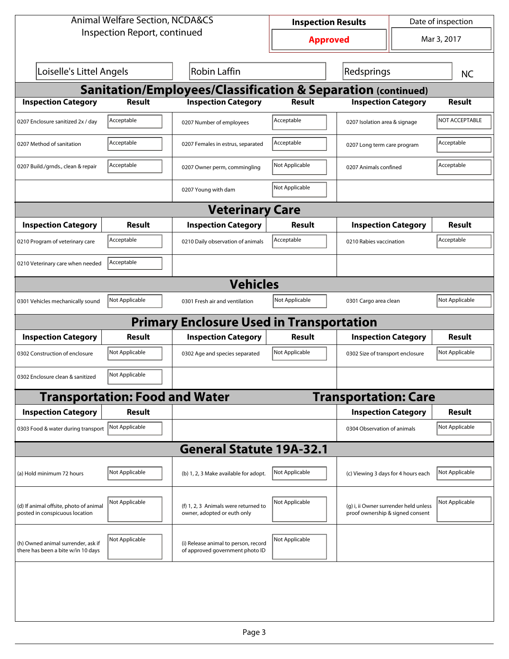| <b>Animal Welfare Section, NCDA&amp;CS</b>                               |                                       | <b>Inspection Results</b>                                               |                 |                                                                           | Date of inspection |                       |  |
|--------------------------------------------------------------------------|---------------------------------------|-------------------------------------------------------------------------|-----------------|---------------------------------------------------------------------------|--------------------|-----------------------|--|
|                                                                          | Inspection Report, continued          |                                                                         | <b>Approved</b> |                                                                           | Mar 3, 2017        |                       |  |
| Loiselle's Littel Angels                                                 |                                       | Robin Laffin                                                            |                 | Redsprings                                                                |                    | <b>NC</b>             |  |
| Sanitation/Employees/Classification & Separation (continued)             |                                       |                                                                         |                 |                                                                           |                    |                       |  |
| <b>Inspection Category</b>                                               | <b>Result</b>                         | <b>Inspection Category</b>                                              | <b>Result</b>   | <b>Inspection Category</b>                                                |                    | <b>Result</b>         |  |
| 0207 Enclosure sanitized 2x / day                                        | Acceptable                            | 0207 Number of employees                                                | Acceptable      | 0207 Isolation area & signage                                             |                    | <b>NOT ACCEPTABLE</b> |  |
| 0207 Method of sanitation                                                | Acceptable                            | 0207 Females in estrus, separated                                       | Acceptable      | 0207 Long term care program                                               |                    | Acceptable            |  |
| 0207 Build./grnds., clean & repair                                       | Acceptable                            | 0207 Owner perm, commingling                                            | Not Applicable  | 0207 Animals confined                                                     |                    | Acceptable            |  |
|                                                                          |                                       | 0207 Young with dam                                                     | Not Applicable  |                                                                           |                    |                       |  |
|                                                                          |                                       | <b>Veterinary Care</b>                                                  |                 |                                                                           |                    |                       |  |
| <b>Inspection Category</b>                                               | Result                                | <b>Inspection Category</b>                                              | Result          | <b>Inspection Category</b>                                                |                    | <b>Result</b>         |  |
| 0210 Program of veterinary care                                          | Acceptable                            | 0210 Daily observation of animals                                       | Acceptable      | 0210 Rabies vaccination                                                   |                    | Acceptable            |  |
| 0210 Veterinary care when needed                                         | Acceptable                            |                                                                         |                 |                                                                           |                    |                       |  |
|                                                                          |                                       | <b>Vehicles</b>                                                         |                 |                                                                           |                    |                       |  |
| 0301 Vehicles mechanically sound                                         | Not Applicable                        | 0301 Fresh air and ventilation                                          | Not Applicable  | 0301 Cargo area clean                                                     |                    | Not Applicable        |  |
|                                                                          |                                       | <b>Primary Enclosure Used in Transportation</b>                         |                 |                                                                           |                    |                       |  |
| <b>Inspection Category</b>                                               | <b>Result</b>                         | <b>Inspection Category</b>                                              | <b>Result</b>   | <b>Inspection Category</b>                                                |                    | <b>Result</b>         |  |
| 0302 Construction of enclosure                                           | Not Applicable                        | 0302 Age and species separated                                          | Not Applicable  | 0302 Size of transport enclosure                                          |                    | Not Applicable        |  |
| 0302 Enclosure clean & sanitized                                         | Not Applicable                        |                                                                         |                 |                                                                           |                    |                       |  |
|                                                                          | <b>Transportation: Food and Water</b> |                                                                         |                 | <b>Transportation: Care</b>                                               |                    |                       |  |
| <b>Inspection Category</b>                                               | <b>Result</b>                         |                                                                         |                 | <b>Inspection Category</b>                                                |                    | <b>Result</b>         |  |
| 0303 Food & water during transport                                       | Not Applicable                        |                                                                         |                 | 0304 Observation of animals                                               |                    | Not Applicable        |  |
|                                                                          |                                       | <b>General Statute 19A-32.1</b>                                         |                 |                                                                           |                    |                       |  |
| (a) Hold minimum 72 hours                                                | Not Applicable                        | (b) 1, 2, 3 Make available for adopt.                                   | Not Applicable  | (c) Viewing 3 days for 4 hours each                                       |                    | Not Applicable        |  |
| (d) If animal offsite, photo of animal<br>posted in conspicuous location | Not Applicable                        | (f) 1, 2, 3 Animals were returned to<br>owner, adopted or euth only     | Not Applicable  | (g) i, ii Owner surrender held unless<br>proof ownership & signed consent |                    | Not Applicable        |  |
| (h) Owned animal surrender, ask if<br>there has been a bite w/in 10 days | Not Applicable                        | (i) Release animal to person, record<br>of approved government photo ID | Not Applicable  |                                                                           |                    |                       |  |
|                                                                          |                                       |                                                                         |                 |                                                                           |                    |                       |  |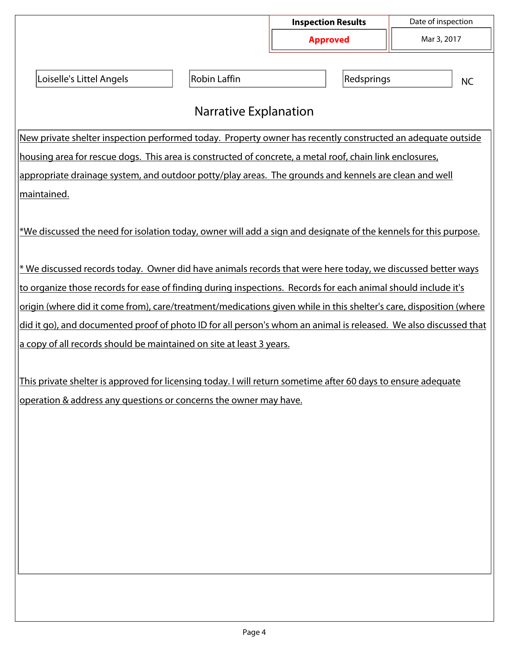|                                                                                                                                                                                    |                     | <b>Inspection Results</b> | Date of inspection |  |  |  |  |
|------------------------------------------------------------------------------------------------------------------------------------------------------------------------------------|---------------------|---------------------------|--------------------|--|--|--|--|
|                                                                                                                                                                                    |                     | <b>Approved</b>           | Mar 3, 2017        |  |  |  |  |
| Loiselle's Littel Angels                                                                                                                                                           | <b>Robin Laffin</b> | Redsprings                | <b>NC</b>          |  |  |  |  |
| <b>Narrative Explanation</b>                                                                                                                                                       |                     |                           |                    |  |  |  |  |
| New private shelter inspection performed today. Property owner has recently constructed an adequate outside                                                                        |                     |                           |                    |  |  |  |  |
| housing area for rescue dogs. This area is constructed of concrete, a metal roof, chain link enclosures,                                                                           |                     |                           |                    |  |  |  |  |
| appropriate drainage system, and outdoor potty/play areas. The grounds and kennels are clean and well                                                                              |                     |                           |                    |  |  |  |  |
| <u> maintained.</u>                                                                                                                                                                |                     |                           |                    |  |  |  |  |
| *We discussed the need for isolation today, owner will add a sign and designate of the kennels for this purpose.                                                                   |                     |                           |                    |  |  |  |  |
| * We discussed records today. Owner did have animals records that were here today, we discussed better ways                                                                        |                     |                           |                    |  |  |  |  |
| to organize those records for ease of finding during inspections. Records for each animal should include it's                                                                      |                     |                           |                    |  |  |  |  |
| origin (where did it come from), care/treatment/medications given while in this shelter's care, disposition (where                                                                 |                     |                           |                    |  |  |  |  |
| did it go), and documented proof of photo ID for all person's whom an animal is released. We also discussed that                                                                   |                     |                           |                    |  |  |  |  |
| a copy of all records should be maintained on site at least 3 years.                                                                                                               |                     |                           |                    |  |  |  |  |
| This private shelter is approved for licensing today. I will return sometime after 60 days to ensure adequate<br>operation & address any questions or concerns the owner may have. |                     |                           |                    |  |  |  |  |